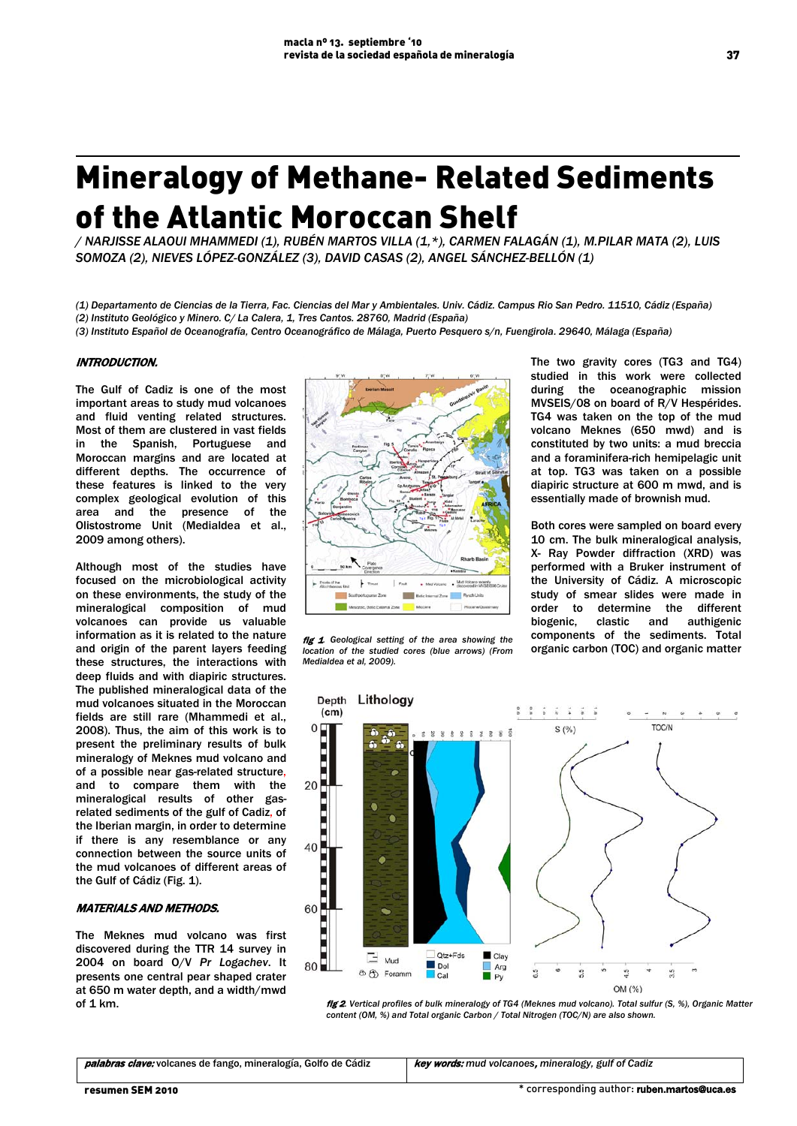# Mineralogy of Methane- Related Sediments of the Atlantic Moroccan Shelf

*/ NARJISSE ALAOUI MHAMMEDI (1), RUBÉN MARTOS VILLA (1,\*), CARMEN FALAGÁN (1), M.PILAR MATA (2), LUIS SOMOZA (2), NIEVES LÓPEZ-GONZÁLEZ (3), DAVID CASAS (2), ANGEL SÁNCHEZ-BELLÓN (1)*

*(1) Departamento de Ciencias de la Tierra, Fac. Ciencias del Mar y Ambientales. Univ. Cádiz. Campus Rio San Pedro. 11510, Cádiz (España) (2) Instituto Geológico y Minero. C/ La Calera, 1, Tres Cantos. 28760, Madrid (España)* 

sONT *(3) Instituto Español de Oceanografía, Centro Oceanográfico de Málaga, Puerto Pesquero s/n, Fuengirola. 29640, Málaga (España)*

# INTRODUCTION.

The Gulf of Cadiz is one of the most important areas to study mud volcanoes and fluid venting related structures. Most of them are clustered in vast fields in the Spanish, Portuguese and Moroccan margins and are located at different depths. The occurrence of these features is linked to the very complex geological evolution of this area and the presence of the Olistostrome Unit (Medialdea et al., 2009 among others).

Although most of the studies have focused on the microbiological activity on these environments, the study of the mineralogical composition of mud volcanoes can provide us valuable information as it is related to the nature and origin of the parent layers feeding these structures, the interactions with deep fluids and with diapiric structures. The published mineralogical data of the mud volcanoes situated in the Moroccan fields are still rare (Mhammedi et al., 2008). Thus, the aim of this work is to present the preliminary results of bulk mineralogy of Meknes mud volcano and of a possible near gas-related structure, and to compare them with the mineralogical results of other gasrelated sediments of the gulf of Cadiz, of the Iberian margin, in order to determine if there is any resemblance or any connection between the source units of the mud volcanoes of different areas of the Gulf of Cádiz (Fig. 1).

# MATERIALS AND METHODS.

The Meknes mud volcano was first discovered during the TTR 14 survey in 2004 on board O/V *Pr Logachev*. It presents one central pear shaped crater at 650 m water depth, and a width/mwd of 1 km.



fig 1*. Geological setting of the area showing the location of the studied cores (blue arrows) (From Medialdea et al, 2009).*

The two gravity cores (TG3 and TG4) studied in this work were collected during the oceanographic mission MVSEIS/08 on board of R/V Hespérides. TG4 was taken on the top of the mud volcano Meknes (650 mwd) and is constituted by two units: a mud breccia and a foraminifera-rich hemipelagic unit at top. TG3 was taken on a possible diapiric structure at 600 m mwd, and is essentially made of brownish mud.

Both cores were sampled on board every 10 cm. The bulk mineralogical analysis, X- Ray Powder diffraction (XRD) was performed with a Bruker instrument of the University of Cádiz. A microscopic study of smear slides were made in order to determine the different biogenic, clastic and authigenic components of the sediments. Total organic carbon (TOC) and organic matter



fig 2*. Vertical profiles of bulk mineralogy of TG4 (Meknes mud volcano). Total sulfur (S, %), Organic Matter content (OM, %) and Total organic Carbon / Total Nitrogen (TOC/N) are also shown.*